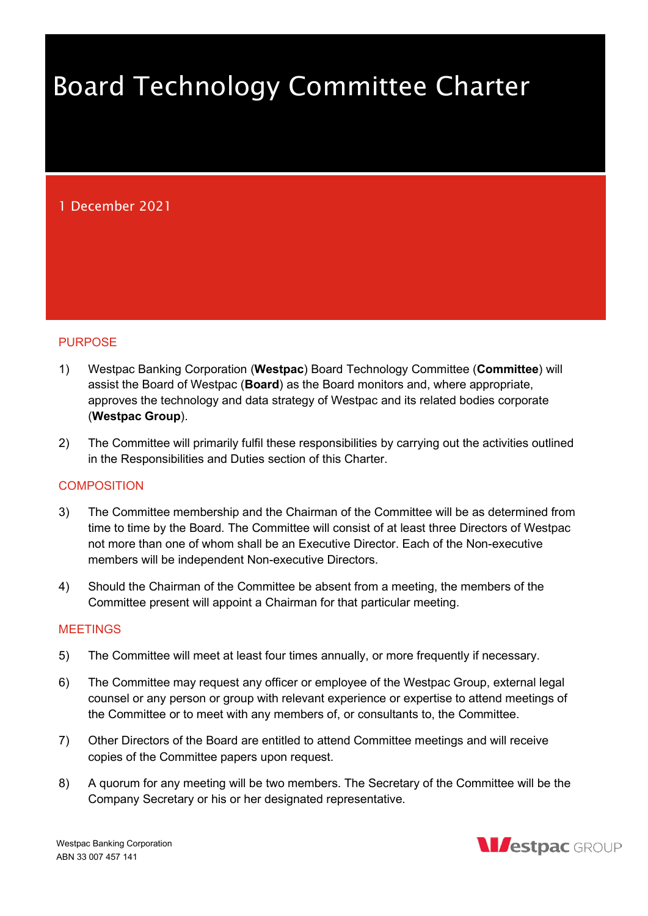# Board Technology Committee Charter

# 1 December 2021

#### **PURPOSE**

- 1) Westpac Banking Corporation (Westpac) Board Technology Committee (Committee) will assist the Board of Westpac (**Board**) as the Board monitors and, where appropriate, approves the technology and data strategy of Westpac and its related bodies corporate (Westpac Group).
- 2) The Committee will primarily fulfil these responsibilities by carrying out the activities outlined in the Responsibilities and Duties section of this Charter.

#### COMPOSITION

- 3) The Committee membership and the Chairman of the Committee will be as determined from time to time by the Board. The Committee will consist of at least three Directors of Westpac not more than one of whom shall be an Executive Director. Each of the Non-executive members will be independent Non-executive Directors.
- 4) Should the Chairman of the Committee be absent from a meeting, the members of the Committee present will appoint a Chairman for that particular meeting.

#### **MEETINGS**

- 5) The Committee will meet at least four times annually, or more frequently if necessary.
- 6) The Committee may request any officer or employee of the Westpac Group, external legal counsel or any person or group with relevant experience or expertise to attend meetings of the Committee or to meet with any members of, or consultants to, the Committee.
- 7) Other Directors of the Board are entitled to attend Committee meetings and will receive copies of the Committee papers upon request.
- 8) A quorum for any meeting will be two members. The Secretary of the Committee will be the Company Secretary or his or her designated representative.

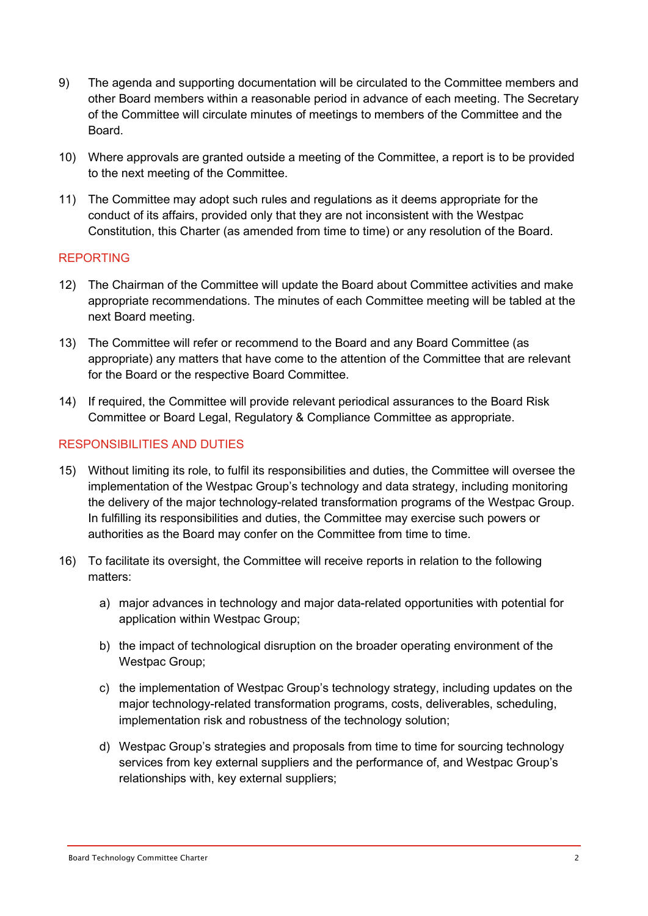- 9) The agenda and supporting documentation will be circulated to the Committee members and other Board members within a reasonable period in advance of each meeting. The Secretary of the Committee will circulate minutes of meetings to members of the Committee and the Board.
- 10) Where approvals are granted outside a meeting of the Committee, a report is to be provided to the next meeting of the Committee.
- 11) The Committee may adopt such rules and regulations as it deems appropriate for the conduct of its affairs, provided only that they are not inconsistent with the Westpac Constitution, this Charter (as amended from time to time) or any resolution of the Board.

### REPORTING

- 12) The Chairman of the Committee will update the Board about Committee activities and make appropriate recommendations. The minutes of each Committee meeting will be tabled at the next Board meeting.
- 13) The Committee will refer or recommend to the Board and any Board Committee (as appropriate) any matters that have come to the attention of the Committee that are relevant for the Board or the respective Board Committee.
- 14) If required, the Committee will provide relevant periodical assurances to the Board Risk Committee or Board Legal, Regulatory & Compliance Committee as appropriate.

## RESPONSIBILITIES AND DUTIES

- 15) Without limiting its role, to fulfil its responsibilities and duties, the Committee will oversee the implementation of the Westpac Group's technology and data strategy, including monitoring the delivery of the major technology-related transformation programs of the Westpac Group. In fulfilling its responsibilities and duties, the Committee may exercise such powers or authorities as the Board may confer on the Committee from time to time.
- 16) To facilitate its oversight, the Committee will receive reports in relation to the following matters:
	- a) major advances in technology and major data-related opportunities with potential for application within Westpac Group;
	- b) the impact of technological disruption on the broader operating environment of the Westpac Group;
	- c) the implementation of Westpac Group's technology strategy, including updates on the major technology-related transformation programs, costs, deliverables, scheduling, implementation risk and robustness of the technology solution;
	- d) Westpac Group's strategies and proposals from time to time for sourcing technology services from key external suppliers and the performance of, and Westpac Group's relationships with, key external suppliers;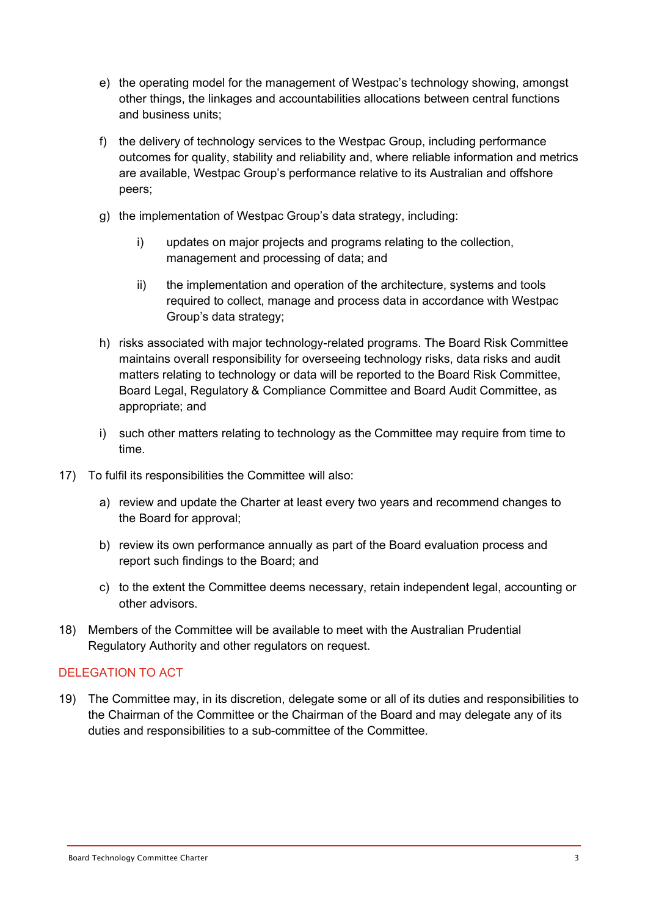- e) the operating model for the management of Westpac's technology showing, amongst other things, the linkages and accountabilities allocations between central functions and business units;
- f) the delivery of technology services to the Westpac Group, including performance outcomes for quality, stability and reliability and, where reliable information and metrics are available, Westpac Group's performance relative to its Australian and offshore peers;
- g) the implementation of Westpac Group's data strategy, including:
	- i) updates on major projects and programs relating to the collection, management and processing of data; and
	- ii) the implementation and operation of the architecture, systems and tools required to collect, manage and process data in accordance with Westpac Group's data strategy;
- h) risks associated with major technology-related programs. The Board Risk Committee maintains overall responsibility for overseeing technology risks, data risks and audit matters relating to technology or data will be reported to the Board Risk Committee, Board Legal, Regulatory & Compliance Committee and Board Audit Committee, as appropriate; and
- i) such other matters relating to technology as the Committee may require from time to time.
- 17) To fulfil its responsibilities the Committee will also:
	- a) review and update the Charter at least every two years and recommend changes to the Board for approval;
	- b) review its own performance annually as part of the Board evaluation process and report such findings to the Board; and
	- c) to the extent the Committee deems necessary, retain independent legal, accounting or other advisors.
- 18) Members of the Committee will be available to meet with the Australian Prudential Regulatory Authority and other regulators on request.

## DELEGATION TO ACT

19) The Committee may, in its discretion, delegate some or all of its duties and responsibilities to the Chairman of the Committee or the Chairman of the Board and may delegate any of its duties and responsibilities to a sub-committee of the Committee.